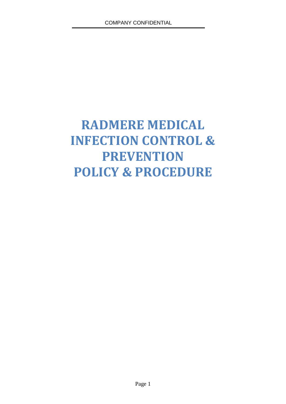# **RADMERE MEDICAL INFECTION CONTROL & PREVENTION POLICY & PROCEDURE**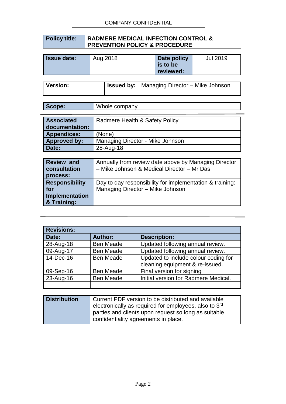#### **Policy title: RADMERE MEDICAL INFECTION CONTROL & PREVENTION POLICY & PROCEDURE**

| <b>Issue date:</b> | Aug 2018 | Date policy           | Jul 2019 |
|--------------------|----------|-----------------------|----------|
|                    |          | is to be<br>reviewed: |          |

**Version: Issued by:** Managing Director – Mike Johnson

| Scope: | Whole company |
|--------|---------------|
|--------|---------------|

| <b>Associated</b><br>documentation: | Radmere Health & Safety Policy   |
|-------------------------------------|----------------------------------|
| <b>Appendices:</b>                  | (None)                           |
| <b>Approved by:</b>                 | Managing Director - Mike Johnson |
| Date:                               | 28-Aug-18                        |

| <b>Review and</b><br>consultation<br>process: | Annually from review date above by Managing Director<br>- Mike Johnson & Medical Director - Mr Das |
|-----------------------------------------------|----------------------------------------------------------------------------------------------------|
| <b>Responsibility</b>                         | Day to day responsibility for implementation & training:                                           |
| for                                           | Managing Director - Mike Johnson                                                                   |
| Implementation                                |                                                                                                    |
| & Training:                                   |                                                                                                    |

| <b>Revisions:</b> |                  |                                                                         |
|-------------------|------------------|-------------------------------------------------------------------------|
| Date:             | <b>Author:</b>   | <b>Description:</b>                                                     |
| 28-Aug-18         | <b>Ben Meade</b> | Updated following annual review.                                        |
| 09-Aug-17         | <b>Ben Meade</b> | Updated following annual review.                                        |
| 14-Dec-16         | <b>Ben Meade</b> | Updated to include colour coding for<br>cleaning equipment & re-issued. |
| 09-Sep-16         | <b>Ben Meade</b> | Final version for signing                                               |
| 23-Aug-16         | <b>Ben Meade</b> | Initial version for Radmere Medical.                                    |
|                   |                  |                                                                         |

| <b>Distribution</b> | Current PDF version to be distributed and available   |  |
|---------------------|-------------------------------------------------------|--|
|                     | electronically as required for employees, also to 3rd |  |
|                     | parties and clients upon request so long as suitable  |  |
|                     | confidentiality agreements in place.                  |  |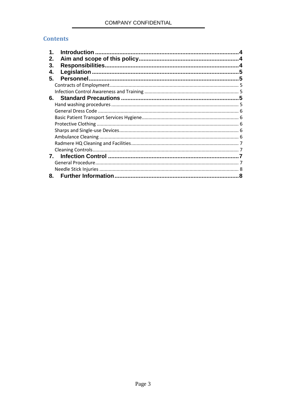# **Contents**

| 1. |  |
|----|--|
| 2. |  |
| 3. |  |
| 4. |  |
| 5. |  |
|    |  |
|    |  |
| 6. |  |
|    |  |
|    |  |
|    |  |
|    |  |
|    |  |
|    |  |
|    |  |
|    |  |
| 7. |  |
|    |  |
|    |  |
| 8. |  |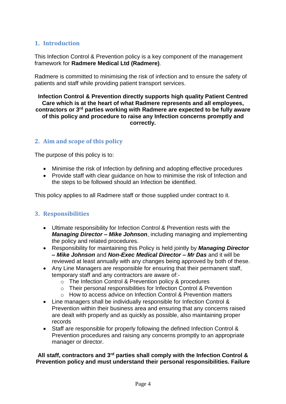# **1. Introduction**

This Infection Control & Prevention policy is a key component of the management framework for **Radmere Medical Ltd (Radmere)**.

Radmere is committed to minimising the risk of infection and to ensure the safety of patients and staff while providing patient transport services.

**Infection Control & Prevention directly supports high quality Patient Centred Care which is at the heart of what Radmere represents and all employees, contractors or 3rd parties working with Radmere are expected to be fully aware of this policy and procedure to raise any Infection concerns promptly and correctly.**

# **2. Aim and scope of this policy**

The purpose of this policy is to:

- Minimise the risk of Infection by defining and adopting effective procedures
- Provide staff with clear guidance on how to minimise the risk of Infection and the steps to be followed should an Infection be identified.

This policy applies to all Radmere staff or those supplied under contract to it.

#### **3. Responsibilities**

- Ultimate responsibility for Infection Control & Prevention rests with the *Managing Director – Mike Johnson*, including managing and implementing the policy and related procedures.
- Responsibility for maintaining this Policy is held jointly by *Managing Director – Mike Johnson* and *Non-Exec Medical Director – Mr Das* and it will be reviewed at least annually with any changes being approved by both of these.
- Any Line Managers are responsible for ensuring that their permanent staff, temporary staff and any contractors are aware of:
	- o The Infection Control & Prevention policy & procedures
	- o Their personal responsibilities for Infection Control & Prevention
	- o How to access advice on Infection Control & Prevention matters
- Line managers shall be individually responsible for Infection Control & Prevention within their business area and ensuring that any concerns raised are dealt with properly and as quickly as possible, also maintaining proper records
- Staff are responsible for properly following the defined Infection Control & Prevention procedures and raising any concerns promptly to an appropriate manager or director.

#### **All staff, contractors and 3rd parties shall comply with the Infection Control & Prevention policy and must understand their personal responsibilities. Failure**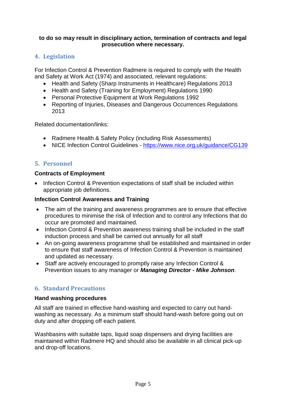#### **to do so may result in disciplinary action, termination of contracts and legal prosecution where necessary.**

# **4. Legislation**

For Infection Control & Prevention Radmere is required to comply with the Health and Safety at Work Act (1974) and associated, relevant regulations:

- Health and Safety (Sharp Instruments in Healthcare) Regulations 2013
- Health and Safety (Training for Employment) Regulations 1990
- Personal Protective Equipment at Work Regulations 1992
- Reporting of Injuries, Diseases and Dangerous Occurrences Regulations 2013

Related documentation/links:

- Radmere Health & Safety Policy (including Risk Assessments)
- NICE Infection Control Guidelines <https://www.nice.org.uk/guidance/CG139>

# **5. Personnel**

#### **Contracts of Employment**

• Infection Control & Prevention expectations of staff shall be included within appropriate job definitions.

#### **Infection Control Awareness and Training**

- The aim of the training and awareness programmes are to ensure that effective procedures to minimise the risk of Infection and to control any Infections that do occur are promoted and maintained.
- Infection Control & Prevention awareness training shall be included in the staff induction process and shall be carried out annually for all staff
- An on-going awareness programme shall be established and maintained in order to ensure that staff awareness of Infection Control & Prevention is maintained and updated as necessary.
- Staff are actively encouraged to promptly raise any Infection Control & Prevention issues to any manager or *Managing Director - Mike Johnson*.

# **6. Standard Precautions**

#### **Hand washing procedures**

All staff are trained in effective hand-washing and expected to carry out handwashing as necessary. As a minimum staff should hand-wash before going out on duty and after dropping off each patient.

Washbasins with suitable taps, liquid soap dispensers and drying facilities are maintained within Radmere HQ and should also be available in all clinical pick-up and drop-off locations.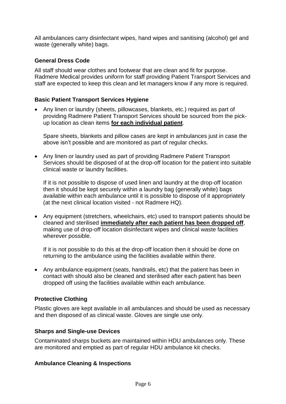All ambulances carry disinfectant wipes, hand wipes and sanitising (alcohol) gel and waste (generally white) bags.

#### **General Dress Code**

All staff should wear clothes and footwear that are clean and fit for purpose. Radmere Medical provides uniform for staff providing Patient Transport Services and staff are expected to keep this clean and let managers know if any more is required.

#### **Basic Patient Transport Services Hygiene**

• Any linen or laundry (sheets, pillowcases, blankets, etc.) required as part of providing Radmere Patient Transport Services should be sourced from the pickup location as clean items **for each individual patient**.

Spare sheets, blankets and pillow cases are kept in ambulances just in case the above isn't possible and are monitored as part of regular checks.

• Any linen or laundry used as part of providing Radmere Patient Transport Services should be disposed of at the drop-off location for the patient into suitable clinical waste or laundry facilities.

If it is not possible to dispose of used linen and laundry at the drop-off location then it should be kept securely within a laundry bag (generally white) bags available within each ambulance until it is possible to dispose of it appropriately (at the next clinical location visited - not Radmere HQ).

• Any equipment (stretchers, wheelchairs, etc) used to transport patients should be cleaned and sterilised **immediately after each patient has been dropped off**, making use of drop-off location disinfectant wipes and clinical waste facilities wherever possible.

If it is not possible to do this at the drop-off location then it should be done on returning to the ambulance using the facilities available within there.

• Any ambulance equipment (seats, handrails, etc) that the patient has been in contact with should also be cleaned and sterilised after each patient has been dropped off using the facilities available within each ambulance.

#### **Protective Clothing**

Plastic gloves are kept available in all ambulances and should be used as necessary and then disposed of as clinical waste. Gloves are single use only.

#### **Sharps and Single-use Devices**

Contaminated sharps buckets are maintained within HDU ambulances only. These are monitored and emptied as part of regular HDU ambulance kit checks.

#### **Ambulance Cleaning & Inspections**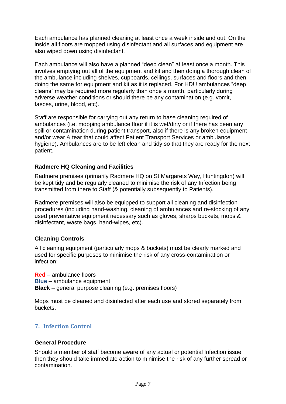Each ambulance has planned cleaning at least once a week inside and out. On the inside all floors are mopped using disinfectant and all surfaces and equipment are also wiped down using disinfectant.

Each ambulance will also have a planned "deep clean" at least once a month. This involves emptying out all of the equipment and kit and then doing a thorough clean of the ambulance including shelves, cupboards, ceilings, surfaces and floors and then doing the same for equipment and kit as it is replaced. For HDU ambulances "deep cleans" may be required more regularly than once a month, particularly during adverse weather conditions or should there be any contamination (e.g. vomit. faeces, urine, blood, etc).

Staff are responsible for carrying out any return to base cleaning required of ambulances (i.e. mopping ambulance floor if it is wet/dirty or if there has been any spill or contamination during patient transport, also if there is any broken equipment and/or wear & tear that could affect Patient Transport Services or ambulance hygiene). Ambulances are to be left clean and tidy so that they are ready for the next patient.

#### **Radmere HQ Cleaning and Facilities**

Radmere premises (primarily Radmere HQ on St Margarets Way, Huntingdon) will be kept tidy and be regularly cleaned to minimise the risk of any Infection being transmitted from there to Staff (& potentially subsequently to Patients).

Radmere premises will also be equipped to support all cleaning and disinfection procedures (including hand-washing, cleaning of ambulances and re-stocking of any used preventative equipment necessary such as gloves, sharps buckets, mops & disinfectant, waste bags, hand-wipes, etc).

#### **Cleaning Controls**

All cleaning equipment (particularly mops & buckets) must be clearly marked and used for specific purposes to minimise the risk of any cross-contamination or infection:

**Red** – ambulance floors **Blue** – ambulance equipment **Black** – general purpose cleaning (e.g. premises floors)

Mops must be cleaned and disinfected after each use and stored separately from buckets.

# **7. Infection Control**

#### **General Procedure**

Should a member of staff become aware of any actual or potential Infection issue then they should take immediate action to minimise the risk of any further spread or contamination.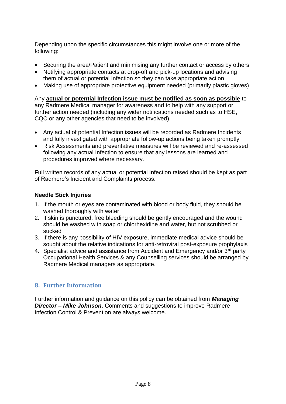Depending upon the specific circumstances this might involve one or more of the following:

- Securing the area/Patient and minimising any further contact or access by others
- Notifying appropriate contacts at drop-off and pick-up locations and advising them of actual or potential Infection so they can take appropriate action
- Making use of appropriate protective equipment needed (primarily plastic gloves)

#### Any **actual or potential Infection issue must be notified as soon as possible** to

any Radmere Medical manager for awareness and to help with any support or further action needed (including any wider notifications needed such as to HSE, CQC or any other agencies that need to be involved).

- Any actual of potential Infection issues will be recorded as Radmere Incidents and fully investigated with appropriate follow-up actions being taken promptly
- Risk Assessments and preventative measures will be reviewed and re-assessed following any actual Infection to ensure that any lessons are learned and procedures improved where necessary.

Full written records of any actual or potential Infection raised should be kept as part of Radmere's Incident and Complaints process.

#### **Needle Stick Injuries**

- 1. If the mouth or eyes are contaminated with blood or body fluid, they should be washed thoroughly with water
- 2. If skin is punctured, free bleeding should be gently encouraged and the wound should be washed with soap or chlorhexidine and water, but not scrubbed or sucked
- 3. If there is any possibility of HIV exposure, immediate medical advice should be sought about the relative indications for anti-retroviral post-exposure prophylaxis
- 4. Specialist advice and assistance from Accident and Emergency and/or 3<sup>rd</sup> party Occupational Health Services & any Counselling services should be arranged by Radmere Medical managers as appropriate.

# **8. Further Information**

Further information and guidance on this policy can be obtained from *Managing Director – Mike Johnson*. Comments and suggestions to improve Radmere Infection Control & Prevention are always welcome.